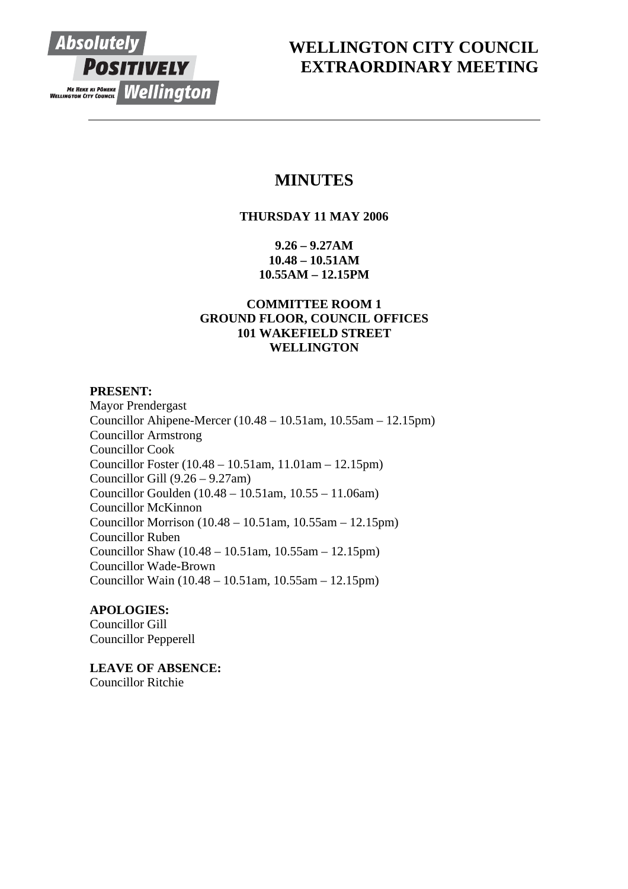

# **WELLINGTON CITY COUNCIL EXTRAORDINARY MEETING**

# **MINUTES**

# **THURSDAY 11 MAY 2006**

**9.26 – 9.27AM 10.48 – 10.51AM 10.55AM – 12.15PM** 

# **COMMITTEE ROOM 1 GROUND FLOOR, COUNCIL OFFICES 101 WAKEFIELD STREET WELLINGTON**

# **PRESENT:**

Mayor Prendergast Councillor Ahipene-Mercer (10.48 – 10.51am, 10.55am – 12.15pm) Councillor Armstrong Councillor Cook Councillor Foster (10.48 – 10.51am, 11.01am – 12.15pm) Councillor Gill (9.26 – 9.27am) Councillor Goulden (10.48 – 10.51am, 10.55 – 11.06am) Councillor McKinnon Councillor Morrison (10.48 – 10.51am, 10.55am – 12.15pm) Councillor Ruben Councillor Shaw (10.48 – 10.51am, 10.55am – 12.15pm) Councillor Wade-Brown Councillor Wain (10.48 – 10.51am, 10.55am – 12.15pm)

# **APOLOGIES:**

Councillor Gill Councillor Pepperell

**LEAVE OF ABSENCE:** Councillor Ritchie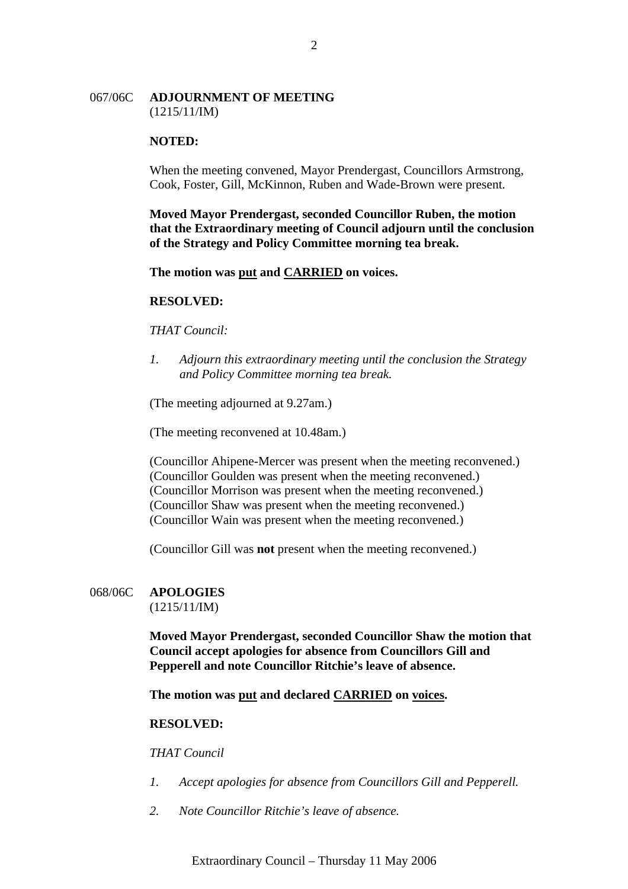## 067/06C **ADJOURNMENT OF MEETING** (1215/11/IM)

### **NOTED:**

When the meeting convened, Mayor Prendergast, Councillors Armstrong, Cook, Foster, Gill, McKinnon, Ruben and Wade-Brown were present.

**Moved Mayor Prendergast, seconded Councillor Ruben, the motion that the Extraordinary meeting of Council adjourn until the conclusion of the Strategy and Policy Committee morning tea break.**

**The motion was put and CARRIED on voices.**

## **RESOLVED:**

### *THAT Council:*

*1. Adjourn this extraordinary meeting until the conclusion the Strategy and Policy Committee morning tea break.*

(The meeting adjourned at 9.27am.)

(The meeting reconvened at 10.48am.)

(Councillor Ahipene-Mercer was present when the meeting reconvened.) (Councillor Goulden was present when the meeting reconvened.) (Councillor Morrison was present when the meeting reconvened.) (Councillor Shaw was present when the meeting reconvened.) (Councillor Wain was present when the meeting reconvened.)

(Councillor Gill was **not** present when the meeting reconvened.)

# 068/06C **APOLOGIES**

 $(1215/11/IM)$ 

**Moved Mayor Prendergast, seconded Councillor Shaw the motion that Council accept apologies for absence from Councillors Gill and Pepperell and note Councillor Ritchie's leave of absence.**

**The motion was put and declared CARRIED on voices.** 

#### **RESOLVED:**

*THAT Council* 

- *1. Accept apologies for absence from Councillors Gill and Pepperell.*
- *2. Note Councillor Ritchie's leave of absence.*

Extraordinary Council – Thursday 11 May 2006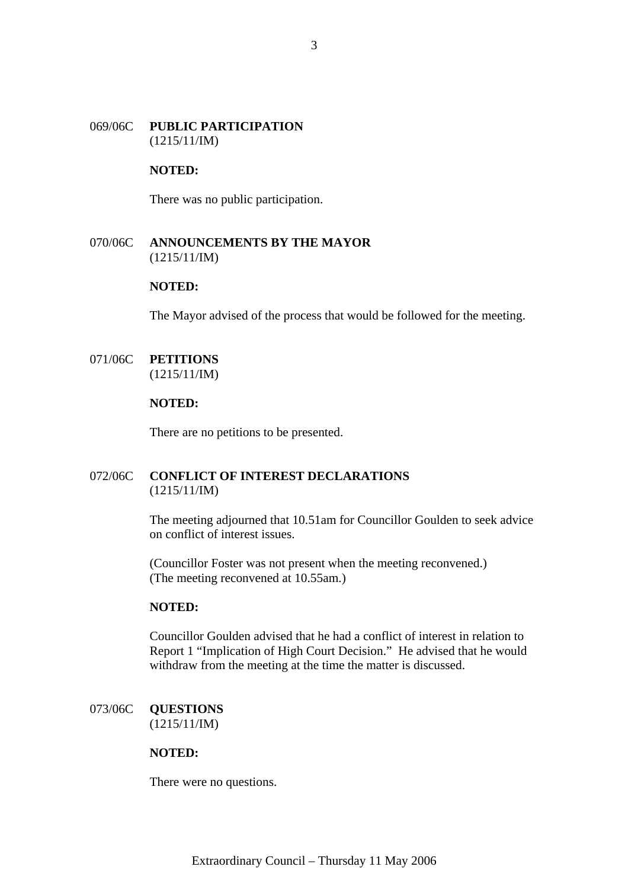# 069/06C **PUBLIC PARTICIPATION**  (1215/11/IM)

# **NOTED:**

There was no public participation.

# 070/06C **ANNOUNCEMENTS BY THE MAYOR** (1215/11/IM)

# **NOTED:**

The Mayor advised of the process that would be followed for the meeting.

# 071/06C **PETITIONS** (1215/11/IM)

#### **NOTED:**

There are no petitions to be presented.

# 072/06C **CONFLICT OF INTEREST DECLARATIONS** (1215/11/IM)

The meeting adjourned that 10.51am for Councillor Goulden to seek advice on conflict of interest issues.

(Councillor Foster was not present when the meeting reconvened.) (The meeting reconvened at 10.55am.)

# **NOTED:**

Councillor Goulden advised that he had a conflict of interest in relation to Report 1 "Implication of High Court Decision." He advised that he would withdraw from the meeting at the time the matter is discussed.

## 073/06C **QUESTIONS** (1215/11/IM)

#### **NOTED:**

There were no questions.